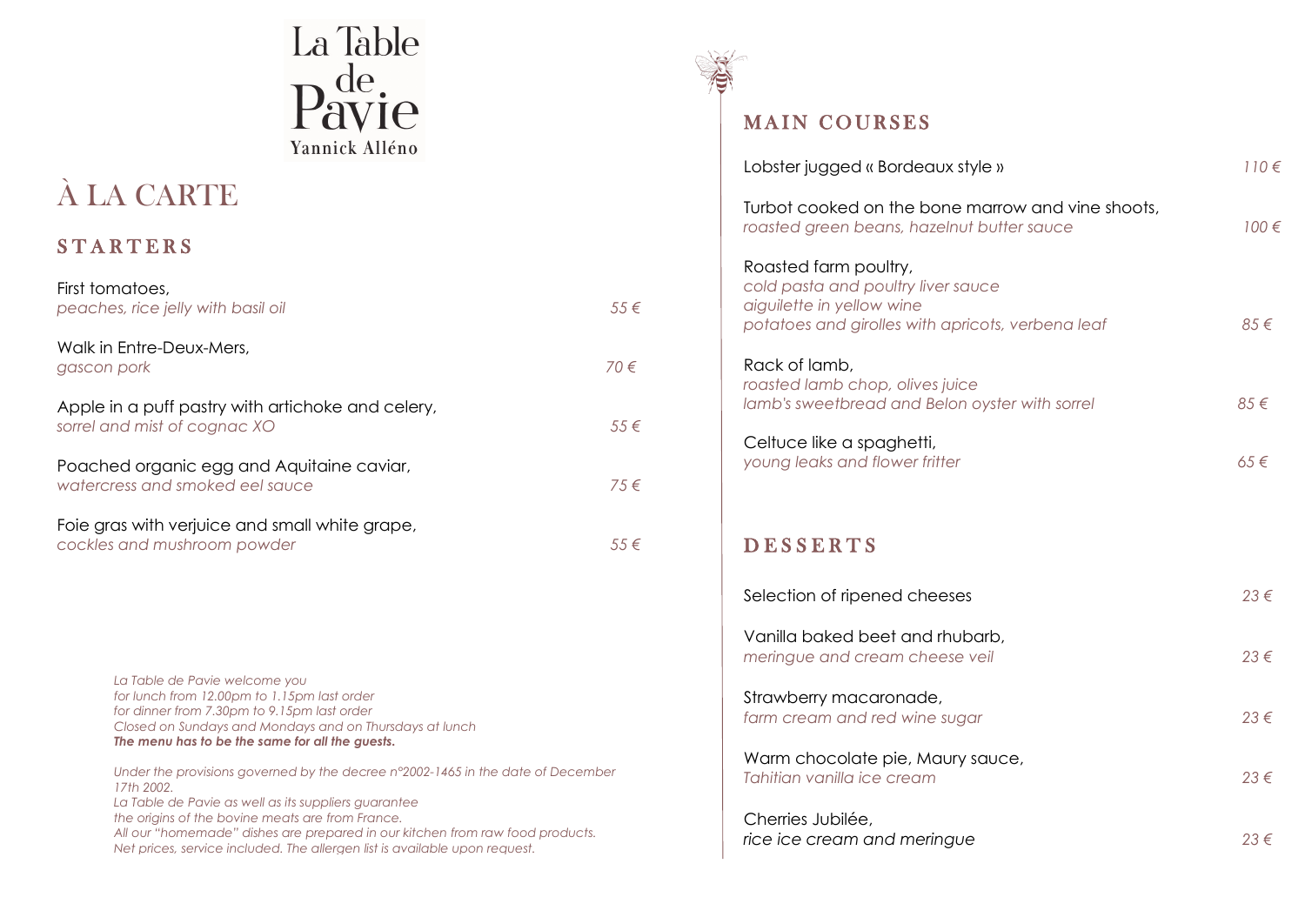

# À LA CARTE

# **STARTERS**

| First tomatoes,<br>peaches, rice jelly with basil oil                             | $.55 \in$     |
|-----------------------------------------------------------------------------------|---------------|
| Walk in Entre-Deux-Mers,<br>gascon pork                                           | $70 \in$      |
| Apple in a puff pastry with artichoke and celery,<br>sorrel and mist of cognac XO | $.5.5 \in$    |
| Poached organic egg and Aquitaine caviar,<br>watercress and smoked eel squce      | $7.5 \in$     |
| Foie gras with verjuice and small white grape,<br>cockles and mushroom powder     | 55 $\epsilon$ |

*La Table de Pavie welcome you for lunch from 12.00pm to 1.15pm last order for dinner from 7.30pm to 9.15pm last order Closed on Sundays and Mondays and on Thursdays at lunch The menu has to be the same for all the guests.*

*Under the provisions governed by the decree n°2002-1465 in the date of December 17th 2002. La Table de Pavie as well as its suppliers guarantee the origins of the bovine meats are from France. All our "homemade" dishes are prepared in our kitchen from raw food products. Net prices, service included. The allergen list is available upon request.*



## MAIN COURSES

| Lobster jugged « Bordeaux style »                                                                                                             | $110 \in$ |
|-----------------------------------------------------------------------------------------------------------------------------------------------|-----------|
| Turbot cooked on the bone marrow and vine shoots,<br>roasted green beans, hazelnut butter sauce                                               | $100 \in$ |
| Roasted farm poultry,<br>cold pasta and poultry liver sauce<br>aiguilette in yellow wine<br>potatoes and girolles with apricots, verbena leaf | 85€       |
| Rack of lamb,<br>roasted lamb chop, olives juice<br>lamb's sweetbread and Belon oyster with sorrel                                            | 85€       |
| Celtuce like a spaghetti,<br>young leaks and flower fritter                                                                                   | 65€       |
| <b>DESSERTS</b>                                                                                                                               |           |
| Selection of ripened cheeses                                                                                                                  | 23€       |
| Vanilla baked beet and rhubarb,<br>meringue and cream cheese veil                                                                             | 23€       |
| Strawberry macaronade,<br>farm cream and red wine sugar                                                                                       | 23€       |
| Warm chocolate pie, Maury sauce,<br>Tahitian vanilla ice cream                                                                                | 23€       |
| Cherries Jubilée,<br>rice ice cream and meringue                                                                                              | 23€       |